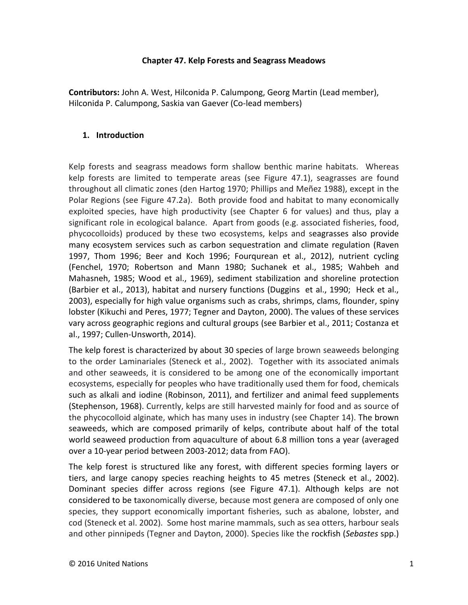### **Chapter 47. Kelp Forests and Seagrass Meadows**

**Contributors:** John A. West, Hilconida P. Calumpong, Georg Martin (Lead member), Hilconida P. Calumpong, Saskia van Gaever (Co-lead members)

### **1. Introduction**

Kelp forests and seagrass meadows form shallow benthic marine habitats. Whereas kelp forests are limited to temperate areas (see Figure 47.1), seagrasses are found throughout all climatic zones (den Hartog 1970; Phillips and Meñez 1988), except in the Polar Regions (see Figure 47.2a). Both provide food and habitat to many economically exploited species, have high productivity (see Chapter 6 for values) and thus, play a significant role in ecological balance. Apart from goods (e.g. associated fisheries, food, phycocolloids) produced by these two ecosystems, kelps and seagrasses also provide many ecosystem services such as carbon sequestration and climate regulation (Raven 1997, Thom 1996; Beer and Koch 1996; Fourqurean et al., 2012), nutrient cycling (Fenchel, 1970; Robertson and Mann 1980; Suchanek et al., 1985; Wahbeh and Mahasneh, 1985; Wood et al., 1969), sediment stabilization and shoreline protection (Barbier et al., 2013), habitat and nursery functions (Duggins et al., 1990; Heck et al., 2003), especially for high value organisms such as crabs, shrimps, clams, flounder, spiny lobster (Kikuchi and Peres, 1977; Tegner and Dayton, 2000). The values of these services vary across geographic regions and cultural groups (see Barbier et al., 2011; Costanza et al., 1997; Cullen-Unsworth, 2014).

The kelp forest is characterized by about 30 species of large brown seaweeds belonging to the order Laminariales (Steneck et al., 2002). Together with its associated animals and other seaweeds, it is considered to be among one of the economically important ecosystems, especially for peoples who have traditionally used them for food, chemicals such as alkali and iodine (Robinson, 2011), and fertilizer and animal feed supplements (Stephenson, 1968). Currently, kelps are still harvested mainly for food and as source of the phycocolloid alginate, which has many uses in industry (see Chapter 14). The brown seaweeds, which are composed primarily of kelps, contribute about half of the total world seaweed production from aquaculture of about 6.8 million tons a year (averaged over a 10-year period between 2003-2012; data from FAO).

The kelp forest is structured like any forest, with different species forming layers or tiers, and large canopy species reaching heights to 45 metres (Steneck et al., 2002). Dominant species differ across regions (see Figure 47.1). Although kelps are not considered to be taxonomically diverse, because most genera are composed of only one species, they support economically important fisheries, such as abalone, lobster, and cod (Steneck et al. 2002). Some host marine mammals, such as sea otters, harbour seals and other pinnipeds (Tegner and Dayton, 2000). Species like the rockfish (*Sebastes* spp.)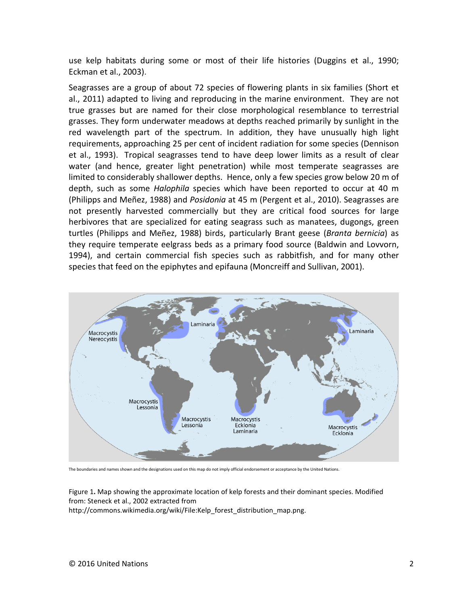use kelp habitats during some or most of their life histories (Duggins et al., 1990; Eckman et al., 2003).

Seagrasses are a group of about 72 species of flowering plants in six families (Short et al., 2011) adapted to living and reproducing in the marine environment. They are not true grasses but are named for their close morphological resemblance to terrestrial grasses. They form underwater meadows at depths reached primarily by sunlight in the red wavelength part of the spectrum. In addition, they have unusually high light requirements, approaching 25 per cent of incident radiation for some species (Dennison et al., 1993). Tropical seagrasses tend to have deep lower limits as a result of clear water (and hence, greater light penetration) while most temperate seagrasses are limited to considerably shallower depths. Hence, only a few species grow below 20 m of depth, such as some *Halophila* species which have been reported to occur at 40 m (Philipps and Meñez, 1988) and *Posidonia* at 45 m (Pergent et al., 2010). Seagrasses are not presently harvested commercially but they are critical food sources for large herbivores that are specialized for eating seagrass such as manatees, dugongs, green turtles (Philipps and Meñez, 1988) birds, particularly Brant geese (*Branta bernicia*) as they require temperate eelgrass beds as a primary food source (Baldwin and Lovvorn, 1994), and certain commercial fish species such as rabbitfish, and for many other species that feed on the epiphytes and epifauna (Moncreiff and Sullivan, 2001).



The boundaries and names shown and the designations used on this map do not imply official endorsement or acceptance by the United Nations.

Figure 1**.** Map showing the approximate location of kelp forests and their dominant species. Modified from: Steneck et al., 2002 extracted from [http://commons.wikimedia.org/wiki/File:Kelp\\_forest\\_distribution\\_map.png.](http://commons.wikimedia.org/wiki/File:Kelp_forest_distribution_map.png)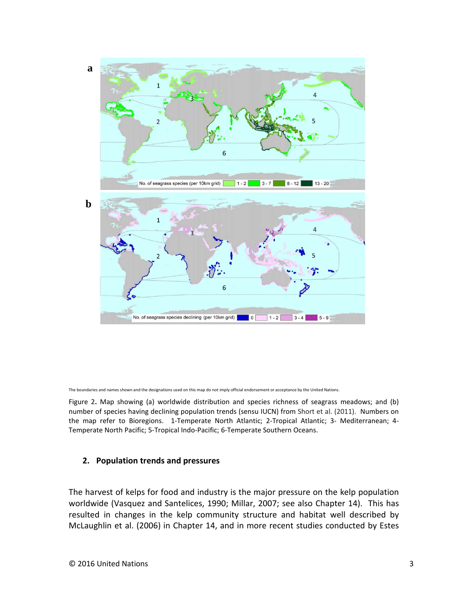

The boundaries and names shown and the designations used on this map do not imply official endorsement or acceptance by the United Nations.

Figure 2**.** Map showing (a) worldwide distribution and species richness of seagrass meadows; and (b) number of species having declining population trends (sensu IUCN) from Short et al. (2011). Numbers on the map refer to Bioregions. 1-Temperate North Atlantic; 2-Tropical Atlantic; 3- Mediterranean; 4- Temperate North Pacific; 5-Tropical Indo-Pacific; 6-Temperate Southern Oceans.

#### **2. Population trends and pressures**

The harvest of kelps for food and industry is the major pressure on the kelp population worldwide (Vasquez and Santelices, 1990; Millar, 2007; see also Chapter 14). This has resulted in changes in the kelp community structure and habitat well described by McLaughlin et al. (2006) in Chapter 14, and in more recent studies conducted by Estes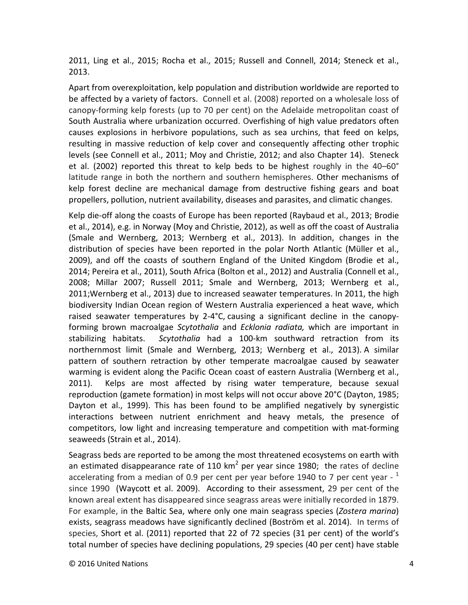2011, Ling et al., 2015; Rocha et al., 2015; Russell and Connell, 2014; Steneck et al., 2013.

Apart from overexploitation, kelp population and distribution worldwide are reported to be affected by a variety of factors. Connell et al. (2008) reported on a wholesale loss of canopy-forming kelp forests (up to 70 per cent) on the Adelaide metropolitan coast of South Australia where urbanization occurred. Overfishing of high value predators often causes explosions in herbivore populations, such as sea urchins, that feed on kelps, resulting in massive reduction of kelp cover and consequently affecting other trophic levels (see Connell et al., 2011; Moy and Christie, 2012; and also Chapter 14). Steneck et al. (2002) reported this threat to kelp beds to be highest roughly in the 40–60° latitude range in both the northern and southern hemispheres. Other mechanisms of kelp forest decline are mechanical damage from destructive fishing gears and boat propellers, pollution, nutrient availability, diseases and parasites, and climatic changes.

Kelp die-off along the coasts of Europe has been reported (Raybaud et al., 2013; Brodie et al., 2014), e.g. in Norway (Moy and Christie, 2012), as well as off the coast of Australia (Smale and Wernberg, 2013; Wernberg et al., 2013). In addition, changes in the distribution of species have been reported in the polar North Atlantic (Müller et al., 2009), and off the coasts of southern England of the United Kingdom (Brodie et al., 2014; Pereira et al., 2011), South Africa (Bolton et al., 2012) and Australia (Connell et al., 2008; Millar 2007; Russell 2011; Smale and Wernberg, 2013; Wernberg et al., 2011;Wernberg et al., 2013) due to increased seawater temperatures. In 2011, the high biodiversity Indian Ocean region of Western Australia experienced a heat wave, which raised seawater temperatures by 2-4°C, causing a significant decline in the canopyforming brown macroalgae *Scytothalia* and *Ecklonia radiata,* which are important in stabilizing habitats. *Scytothalia* had a 100-km southward retraction from its northernmost limit (Smale and Wernberg, 2013; Wernberg et al., 2013). A similar pattern of southern retraction by other temperate macroalgae caused by seawater warming is evident along the Pacific Ocean coast of eastern Australia (Wernberg et al., 2011). Kelps are most affected by rising water temperature, because sexual reproduction (gamete formation) in most kelps will not occur above 20°C (Dayton, 1985; Dayton et al., 1999). This has been found to be amplified negatively by synergistic interactions between nutrient enrichment and heavy metals, the presence of competitors, low light and increasing temperature and competition with mat-forming seaweeds (Strain et al., 2014).

Seagrass beds are reported to be among the most threatened ecosystems on earth with an estimated disappearance rate of 110  $km^2$  per year since 1980; the rates of decline accelerating from a median of 0.9 per cent per year before 1940 to 7 per cent year  $^{-1}$ since 1990 (Waycott et al. 2009). According to their assessment, 29 per cent of the known areal extent has disappeared since seagrass areas were initially recorded in 1879. For example, in the Baltic Sea, where only one main seagrass species (*Zostera marina*) exists, seagrass meadows have significantly declined (Boström et al. 2014). In terms of species, Short et al. (2011) reported that 22 of 72 species (31 per cent) of the world's total number of species have declining populations, 29 species (40 per cent) have stable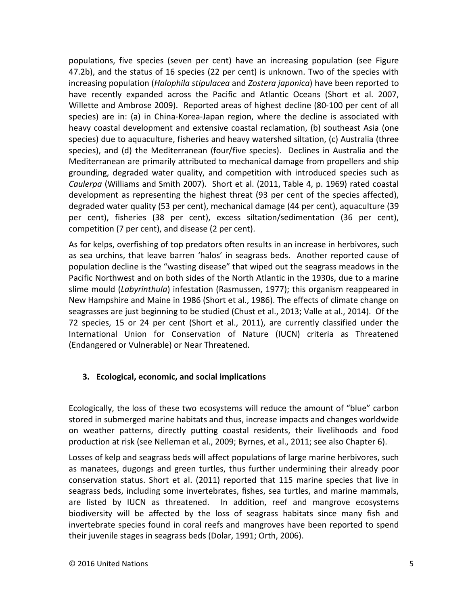populations, five species (seven per cent) have an increasing population (see Figure 47.2b), and the status of 16 species (22 per cent) is unknown. Two of the species with increasing population (*Halophila stipulacea* and *Zostera japonica*) have been reported to have recently expanded across the Pacific and Atlantic Oceans (Short et al. 2007, Willette and Ambrose 2009). Reported areas of highest decline (80-100 per cent of all species) are in: (a) in China-Korea-Japan region, where the decline is associated with heavy coastal development and extensive coastal reclamation, (b) southeast Asia (one species) due to aquaculture, fisheries and heavy watershed siltation, (c) Australia (three species), and (d) the Mediterranean (four/five species). Declines in Australia and the Mediterranean are primarily attributed to mechanical damage from propellers and ship grounding, degraded water quality, and competition with introduced species such as *Caulerpa* (Williams and Smith 2007). Short et al. (2011, Table 4, p. 1969) rated coastal development as representing the highest threat (93 per cent of the species affected), degraded water quality (53 per cent), mechanical damage (44 per cent), aquaculture (39 per cent), fisheries (38 per cent), excess siltation/sedimentation (36 per cent), competition (7 per cent), and disease (2 per cent).

As for kelps, overfishing of top predators often results in an increase in herbivores, such as sea urchins, that leave barren 'halos' in seagrass beds. Another reported cause of population decline is the "wasting disease" that wiped out the seagrass meadows in the Pacific Northwest and on both sides of the North Atlantic in the 1930s, due to a marine slime mould (*Labyrinthula*) infestation (Rasmussen, 1977); this organism reappeared in New Hampshire and Maine in 1986 (Short et al., 1986). The effects of climate change on seagrasses are just beginning to be studied (Chust et al., 2013; Valle at al., 2014). Of the 72 species, 15 or 24 per cent (Short et al., 2011), are currently classified under the International Union for Conservation of Nature (IUCN) criteria as Threatened (Endangered or Vulnerable) or Near Threatened.

## **3. Ecological, economic, and social implications**

Ecologically, the loss of these two ecosystems will reduce the amount of "blue" carbon stored in submerged marine habitats and thus, increase impacts and changes worldwide on weather patterns, directly putting coastal residents, their livelihoods and food production at risk (see Nelleman et al., 2009; Byrnes, et al., 2011; see also Chapter 6).

Losses of kelp and seagrass beds will affect populations of large marine herbivores, such as manatees, dugongs and green turtles, thus further undermining their already poor conservation status. Short et al. (2011) reported that 115 marine species that live in seagrass beds, including some invertebrates, fishes, sea turtles, and marine mammals, are listed by IUCN as threatened. In addition, reef and mangrove ecosystems biodiversity will be affected by the loss of seagrass habitats since many fish and invertebrate species found in coral reefs and mangroves have been reported to spend their juvenile stages in seagrass beds (Dolar, 1991; Orth, 2006).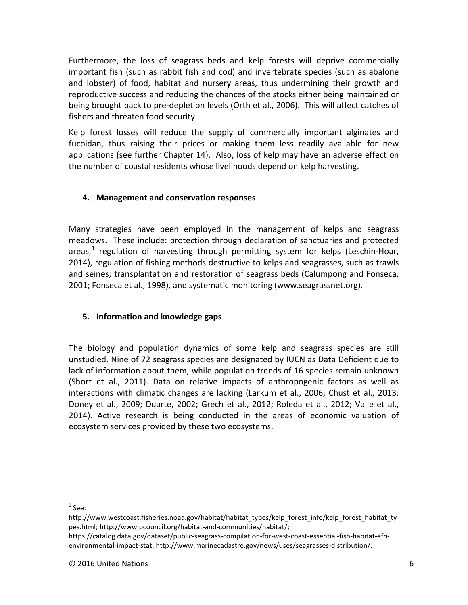Furthermore, the loss of seagrass beds and kelp forests will deprive commercially important fish (such as rabbit fish and cod) and invertebrate species (such as abalone and lobster) of food, habitat and nursery areas, thus undermining their growth and reproductive success and reducing the chances of the stocks either being maintained or being brought back to pre-depletion levels (Orth et al., 2006). This will affect catches of fishers and threaten food security.

Kelp forest losses will reduce the supply of commercially important alginates and fucoidan, thus raising their prices or making them less readily available for new applications (see further Chapter 14). Also, loss of kelp may have an adverse effect on the number of coastal residents whose livelihoods depend on kelp harvesting.

# **4. Management and conservation responses**

Many strategies have been employed in the management of kelps and seagrass meadows. These include: protection through declaration of sanctuaries and protected areas,<sup>[1](#page-5-0)</sup> regulation of harvesting through permitting system for kelps (Leschin-Hoar, 2014), regulation of fishing methods destructive to kelps and seagrasses, such as trawls and seines; transplantation and restoration of seagrass beds (Calumpong and Fonseca, 2001; Fonseca et al., 1998), and systematic monitoring (www.seagrassnet.org).

## **5. Information and knowledge gaps**

The biology and population dynamics of some kelp and seagrass species are still unstudied. Nine of 72 seagrass species are designated by IUCN as Data Deficient due to lack of information about them, while population trends of 16 species remain unknown (Short et al., 2011). Data on relative impacts of anthropogenic factors as well as interactions with climatic changes are lacking (Larkum et al., 2006; Chust et al., 2013; Doney et al., 2009; Duarte, 2002; Grech et al., 2012; Roleda et al., 2012; Valle et al., 2014). Active research is being conducted in the areas of economic valuation of ecosystem services provided by these two ecosystems.

 $1$  See:  $\overline{a}$ 

<span id="page-5-0"></span>http://www.westcoast.fisheries.noaa.gov/habitat/habitat\_types/kelp\_forest\_info/kelp\_forest\_habitat\_ty pes.html; http://www.pcouncil.org/habitat-and-communities/habitat/;

https://catalog.data.gov/dataset/public-seagrass-compilation-for-west-coast-essential-fish-habitat-efhenvironmental-impact-stat; http://www.marinecadastre.gov/news/uses/seagrasses-distribution/.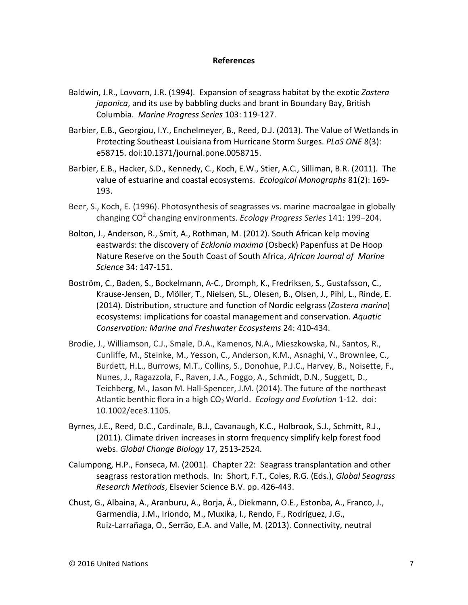#### **References**

- Baldwin, J.R., Lovvorn, J.R. (1994). Expansion of seagrass habitat by the exotic *Zostera japonica*, and its use by babbling ducks and brant in Boundary Bay, British Columbia. *Marine Progress Series* 103: 119-127.
- Barbier, E.B., Georgiou, I.Y., Enchelmeyer, B., Reed, D.J. (2013). The Value of Wetlands in Protecting Southeast Louisiana from Hurricane Storm Surges. *PLoS ONE* 8(3): e58715. doi:10.1371/journal.pone.0058715.
- Barbier, E.B., Hacker, S.D., Kennedy, C., Koch, E.W., Stier, A.C., Silliman, B.R. (2011). The value of estuarine and coastal ecosystems. *Ecological Monographs* 81(2): 169- 193.
- Beer, S., Koch, E. (1996). Photosynthesis of seagrasses vs. marine macroalgae in globally changing CO2 changing environments. *Ecology Progress Series* 141: 199–204.
- Bolton, J., Anderson, R., Smit, A., Rothman, M. (2012). South African kelp moving eastwards: the discovery of *Ecklonia maxima* (Osbeck) Papenfuss at De Hoop Nature Reserve on the South Coast of South Africa, *African Journal of Marine Science* 34: 147-151.
- Boström, C., Baden, S., Bockelmann, A-C., Dromph, K., Fredriksen, S., Gustafsson, C., Krause-Jensen, D., Möller, T., Nielsen, SL., Olesen, B., Olsen, J., Pihl, L., Rinde, E. (2014). Distribution, structure and function of Nordic eelgrass (*Zostera marina*) ecosystems: implications for coastal management and conservation. *Aquatic Conservation: Marine and Freshwater Ecosystems* 24: 410-434.
- Brodie, J., Williamson, C.J., Smale, D.A., Kamenos, N.A., Mieszkowska, N., Santos, R., Cunliffe, M., Steinke, M., Yesson, C., Anderson, K.M., Asnaghi, V., Brownlee, C., Burdett, H.L., Burrows, M.T., Collins, S., Donohue, P.J.C., Harvey, B., Noisette, F., Nunes, J., Ragazzola, F., Raven, J.A., Foggo, A., Schmidt, D.N., Suggett, D., Teichberg, M., Jason M. Hall-Spencer, J.M. (2014). The future of the northeast Atlantic benthic flora in a high CO2 World. *Ecology and Evolution* 1-12. doi: 10.1002/ece3.1105.
- Byrnes, J.E., Reed, D.C., Cardinale, B.J., Cavanaugh, K.C., Holbrook, S.J., Schmitt, R.J., (2011). Climate driven increases in storm frequency simplify kelp forest food webs. *Global Change Biology* 17, 2513-2524.
- Calumpong, H.P., Fonseca, M. (2001). Chapter 22: Seagrass transplantation and other seagrass restoration methods. In: Short, F.T., Coles, R.G. (Eds.), *Global Seagrass Research Methods*, Elsevier Science B.V. pp. 426-443.
- Chust, G., Albaina, A., Aranburu, A., Borja, Á., Diekmann, O.E., Estonba, A., Franco, J., Garmendia, J.M., Iriondo, M., Muxika, I., Rendo, F., Rodríguez, J.G., Ruiz-Larrañaga, O., Serrão, E.A. and Valle, M. (2013). Connectivity, neutral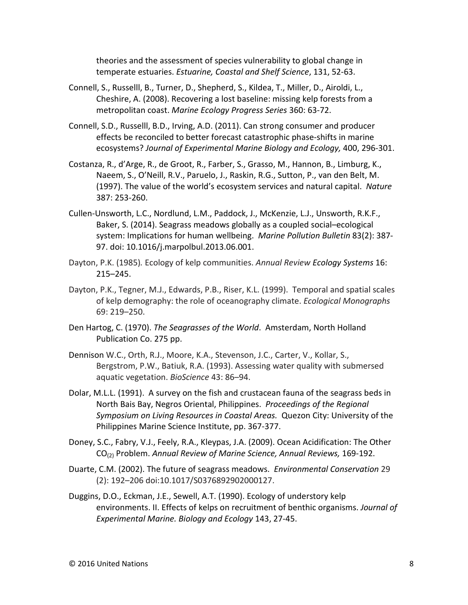theories and the assessment of species vulnerability to global change in temperate estuaries. *Estuarine, Coastal and Shelf Science*, 131, 52-63.

- Connell, S., Russelll, B., Turner, D., Shepherd, S., Kildea, T., Miller, D., Airoldi, L., Cheshire, A. (2008). Recovering a lost baseline: missing kelp forests from a metropolitan coast. *Marine Ecology Progress Series* 360: 63-72.
- Connell, S.D., Russelll, B.D., Irving, A.D. (2011). Can strong consumer and producer effects be reconciled to better forecast catastrophic phase-shifts in marine ecosystems? *Journal of Experimental Marine Biology and Ecology,* 400, 296-301.
- Costanza, R., d'Arge, R., de Groot, R., Farber, S., Grasso, M., Hannon, B., Limburg, K., Naeem, S., O'Neill, R.V., Paruelo, J., Raskin, R.G., Sutton, P., van den Belt, M. (1997). The value of the world's ecosystem services and natural capital. *Nature* 387: 253-260.
- Cullen-Unsworth, L.C., Nordlund, L.M., Paddock, J., McKenzie, L.J., Unsworth, R.K.F., Baker, S. (2014). Seagrass meadows globally as a coupled social–ecological system: Implications for human wellbeing. *Marine Pollution Bulletin* 83(2): 387- 97. doi: 10.1016/j.marpolbul.2013.06.001.
- Dayton, P.K. (1985)*.* Ecology of kelp communities. *Annual Review Ecology Systems* 16: 215–245.
- Dayton, P.K., Tegner, M.J., Edwards, P.B., Riser, K.L. (1999). Temporal and spatial scales of kelp demography: the role of oceanography climate. *Ecological Monographs*  69: 219–250.
- Den Hartog, C. (1970). *The Seagrasses of the World*. Amsterdam, North Holland Publication Co. 275 pp.
- Dennison W.C., Orth, R.J., Moore, K.A., Stevenson, J.C., Carter, V., Kollar, S., Bergstrom, P.W., Batiuk, R.A. (1993). Assessing water quality with submersed aquatic vegetation. *BioScience* 43: 86–94.
- Dolar, M.L.L. (1991). A survey on the fish and crustacean fauna of the seagrass beds in North Bais Bay, Negros Oriental, Philippines. *Proceedings of the Regional Symposium on Living Resources in Coastal Areas.* Quezon City: University of the Philippines Marine Science Institute, pp. 367-377.
- Doney, S.C., Fabry, V.J., Feely, R.A., Kleypas, J.A. (2009). Ocean Acidification: The Other CO(2) Problem. *Annual Review of Marine Science, Annual Reviews,* 169-192.
- Duarte, C.M. (2002). The future of seagrass meadows. *Environmental Conservation* 29 (2): 192–206 doi:10.1017/S0376892902000127.
- Duggins, D.O., Eckman, J.E., Sewell, A.T. (1990). Ecology of understory kelp environments. II. Effects of kelps on recruitment of benthic organisms. *Journal of Experimental Marine. Biology and Ecology* 143, 27-45.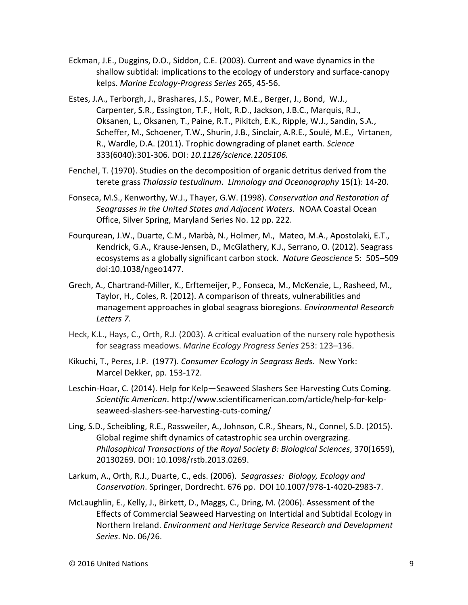- Eckman, J.E., Duggins, D.O., Siddon, C.E. (2003). Current and wave dynamics in the shallow subtidal: implications to the ecology of understory and surface-canopy kelps. *Marine Ecology-Progress Series* 265, 45-56.
- Estes, J.A., Terborgh, J., Brashares, J.S., Power, M.E., Berger, J., Bond, W.J., Carpenter, S.R., Essington, T.F., Holt, R.D., Jackson, J.B.C., Marquis, R.J., Oksanen, L., Oksanen, T., Paine, R.T., Pikitch, E.K., Ripple, W.J., Sandin, S.A., Scheffer, M., Schoener, T.W., Shurin, J.B., Sinclair, A.R.E., Soulé, M.E., Virtanen, R., Wardle, D.A. (2011). Trophic downgrading of planet earth. *Science* 333(6040):301-306. DOI: *10.1126/science.1205106.*
- Fenchel, T. (1970). Studies on the decomposition of organic detritus derived from the terete grass *Thalassia testudinum*. *Limnology and Oceanography* 15(1): 14-20.
- Fonseca, M.S., Kenworthy, W.J., Thayer, G.W. (1998). *Conservation and Restoration of Seagrasses in the United States and Adjacent Waters.* NOAA Coastal Ocean Office, Silver Spring, Maryland Series No. 12 pp. 222.
- [Fourqurean,](http://www.nature.com/ngeo/journal/v5/n7/full/ngeo1477.html%23auth-1) J.W., [Duarte,](http://www.nature.com/ngeo/journal/v5/n7/full/ngeo1477.html%23auth-2) C.M., [Marbà,](http://www.nature.com/ngeo/journal/v5/n7/full/ngeo1477.html%23auth-4) N., [Holmer,](http://www.nature.com/ngeo/journal/v5/n7/full/ngeo1477.html%23auth-5) M., [Mateo,](http://www.nature.com/ngeo/journal/v5/n7/full/ngeo1477.html%23auth-6) M.A., [Apostolaki,](http://www.nature.com/ngeo/journal/v5/n7/full/ngeo1477.html%23auth-7) E.T., [Kendrick,](http://www.nature.com/ngeo/journal/v5/n7/full/ngeo1477.html%23auth-8) G.A., [Krause-Jensen,](http://www.nature.com/ngeo/journal/v5/n7/full/ngeo1477.html%23auth-9) D., [McGlathery,](http://www.nature.com/ngeo/journal/v5/n7/full/ngeo1477.html%23auth-10) K.J., [Serrano,](http://www.nature.com/ngeo/journal/v5/n7/full/ngeo1477.html%23auth-11) O. (2012). Seagrass ecosystems as a globally significant carbon stock. *Nature Geoscience* 5: 505–509 doi:10.1038/ngeo1477.
- Grech, A., Chartrand-Miller, K., Erftemeijer, P., Fonseca, M., McKenzie, L., Rasheed, M., Taylor, H., Coles, R. (2012). A comparison of threats, vulnerabilities and management approaches in global seagrass bioregions. *Environmental Research Letters 7.*
- Heck, K.L., Hays, C., Orth, R.J. (2003). A critical evaluation of the nursery role hypothesis for seagrass meadows. *Marine Ecology Progress Series* 253: 123–136.
- Kikuchi, T., Peres, J.P. (1977). *Consumer Ecology in Seagrass Beds.* New York: Marcel Dekker, pp. 153-172.
- Leschin-Hoar, C. (2014). Help for Kelp—Seaweed Slashers See Harvesting Cuts Coming. *Scientific American*. http://www.scientificamerican.com/article/help-for-kelpseaweed-slashers-see-harvesting-cuts-coming/
- Ling, S.D., Scheibling, R.E., Rassweiler, A., Johnson, C.R., Shears, N., Connel, S.D. (2015). Global regime shift dynamics of catastrophic sea urchin overgrazing. *Philosophical Transactions of the Royal Society B: Biological Sciences*, 370(1659), 20130269. DOI: 10.1098/rstb.2013.0269.
- Larkum, A., Orth, R.J., Duarte, C., eds. (2006). *Seagrasses: Biology, Ecology and Conservation*. Springer, Dordrecht. 676 pp. DOI 10.1007/978-1-4020-2983-7.
- McLaughlin, E., Kelly, J., Birkett, D., Maggs, C., Dring, M. (2006). Assessment of the Effects of Commercial Seaweed Harvesting on Intertidal and Subtidal Ecology in Northern Ireland. *Environment and Heritage Service Research and Development Series*. No. 06/26.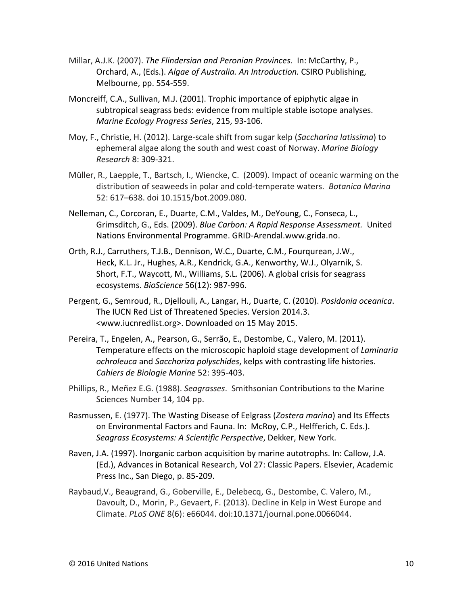- Millar, A.J.K. (2007). *The Flindersian and Peronian Provinces*. In: McCarthy, P., Orchard, A., (Eds.). *Algae of Australia. An Introduction.* CSIRO Publishing, Melbourne, pp. 554-559.
- Moncreiff, C.A., Sullivan, M.J. (2001). Trophic importance of epiphytic algae in subtropical seagrass beds: evidence from multiple stable isotope analyses. *Marine Ecology Progress Series*, 215, 93-106.
- Moy, F., Christie, H. (2012). Large-scale shift from sugar kelp (*Saccharina latissima*) to ephemeral algae along the south and west coast of Norway. *Marine Biology Research* 8: 309-321.
- Müller, R., Laepple, T., Bartsch, I., Wiencke, C. (2009). Impact of oceanic warming on the distribution of seaweeds in polar and cold-temperate waters. *Botanica Marina* 52: 617–638. doi 10.1515/bot.2009.080.
- Nelleman, C., Corcoran, E., Duarte, C.M., Valdes, M., DeYoung, C., Fonseca, L., Grimsditch, G., Eds. (2009). *Blue Carbon: A Rapid Response Assessment.* United Nations Environmental Programme. GRID-Arendal.www.grida.no.
- Orth, R.J., Carruthers, T.J.B., Dennison, W.C., Duarte, C.M., Fourqurean, J.W., Heck, K.L. Jr., Hughes, A.R., Kendrick, G.A., Kenworthy, W.J., Olyarnik, S. Short, F.T., Waycott, M., Williams, S.L. (2006). A global crisis for seagrass ecosystems. *BioScience* 56(12): 987-996.
- Pergent, G., Semroud, R., Djellouli, A., Langar, H., Duarte, C. (2010). *Posidonia oceanica*. The IUCN Red List of Threatened Species. Version 2014.3. <www.iucnredlist.org>. Downloaded on 15 May 2015.
- Pereira, T., Engelen, A., Pearson, G., Serrão, E., Destombe, C., Valero, M. (2011). Temperature effects on the microscopic haploid stage development of *Laminaria ochroleuca* and *Sacchoriza polyschides*, kelps with contrasting life histories. *Cahiers de Biologie Marine* 52: 395-403.
- Phillips, R., Meñez E.G. (1988). *Seagrasses*. Smithsonian Contributions to the Marine Sciences Number 14, 104 pp.
- Rasmussen, E. (1977). The Wasting Disease of Eelgrass (*Zostera marina*) and Its Effects on Environmental Factors and Fauna. In: McRoy, C.P., Helfferich, C. Eds.). *Seagrass Ecosystems: A Scientific Perspective*, Dekker, New York.
- Raven, J.A. (1997). Inorganic carbon acquisition by marine autotrophs. In: Callow, J.A. (Ed.), Advances in Botanical Research, Vol 27: Classic Papers. Elsevier, Academic Press Inc., San Diego, p. 85-209.
- Raybaud,V., Beaugrand, G., Goberville, E., Delebecq, G., Destombe, C. Valero, M., Davoult, D., Morin, P., Gevaert, F. (2013). Decline in Kelp in West Europe and Climate. *PLoS ONE* 8(6): e66044. doi:10.1371/journal.pone.0066044.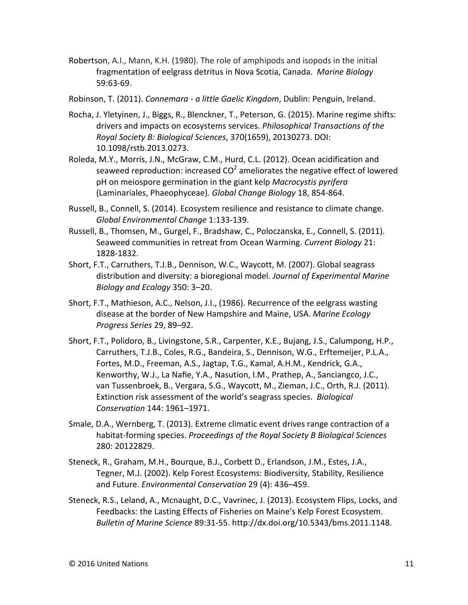Robertson, A.I., Mann, K.H. (1980). The role of amphipods and isopods in the initial fragmentation of eelgrass detritus in Nova Scotia, Canada. *Marine Biology* 59:63-69.

Robinson, T. (2011). *Connemara - a little Gaelic Kingdom*, Dublin: Penguin, Ireland.

- Rocha, J. Yletyinen, J., Biggs, R., Blenckner, T., Peterson, G. (2015). Marine regime shifts: drivers and impacts on ecosystems services. *Philosophical Transactions of the Royal Society B: Biological Sciences*, 370(1659), 20130273. DOI: 10.1098/rstb.2013.0273.
- Roleda, M.Y., Morris, J.N., McGraw, C.M., Hurd, C.L. (2012). Ocean acidification and seaweed reproduction: increased  $CO<sup>2</sup>$  ameliorates the negative effect of lowered pH on meiospore germination in the giant kelp *Macrocystis pyrifera* (Laminariales, Phaeophyceae). *Global Change Biology* 18, 854-864.
- Russell, B., Connell, S. (2014). Ecosystem resilience and resistance to climate change. *Global Environmental Change* 1:133-139.
- Russell, B., Thomsen, M., Gurgel, F., Bradshaw, C., Poloczanska, E., Connell, S. (2011). Seaweed communities in retreat from Ocean Warming. *Current Biology* 21: 1828-1832.
- Short, F.T., Carruthers, T.J.B., Dennison, W.C., Waycott, M. (2007). Global seagrass distribution and diversity: a bioregional model. *Journal of Experimental Marine Biology and Ecology* 350: 3–20.
- Short, F.T., Mathieson, A.C., Nelson, J.I., (1986). Recurrence of the eelgrass wasting disease at the border of New Hampshire and Maine, USA. *Marine Ecology Progress Series* 29, 89–92.
- Short, F.T., Polidoro, B., Livingstone, S.R., Carpenter, K.E., Bujang, J.S., Calumpong, H.P., Carruthers, T.J.B., Coles, R.G., Bandeira, S., Dennison, W.G., Erftemeijer, P.L.A., Fortes, M.D., Freeman, A.S., Jagtap, T.G., Kamal, A.H.M., Kendrick, G.A., Kenworthy, W.J., La Nafie, Y.A., Nasution, I.M., Prathep, A., Sanciangco, J.C., van Tussenbroek, B., Vergara, S.G., Waycott, M., Zieman, J.C., Orth, R.J. (2011). Extinction risk assessment of the world's seagrass species. *Biological Conservation* 144: 1961–1971.
- Smale, D.A., Wernberg, T. (2013). Extreme climatic event drives range contraction of a habitat-forming species. *Proceedings of the Royal Society B Biological Sciences* 280: 20122829.
- Steneck, R., Graham, M.H., Bourque, B.J., Corbett D., Erlandson, J.M., Estes, J.A., Tegner, M.J. (2002). Kelp Forest Ecosystems: Biodiversity, Stability, Resilience and Future. *Environmental Conservation* 29 (4): 436–459.
- Steneck, R.S., Leland, A., Mcnaught, D.C., Vavrinec, J. (2013). Ecosystem Flips, Locks, and Feedbacks: the Lasting Effects of Fisheries on Maine's Kelp Forest Ecosystem. *Bulletin of Marine Science* 89:31-55. http://dx.doi.org/10.5343/bms.2011.1148.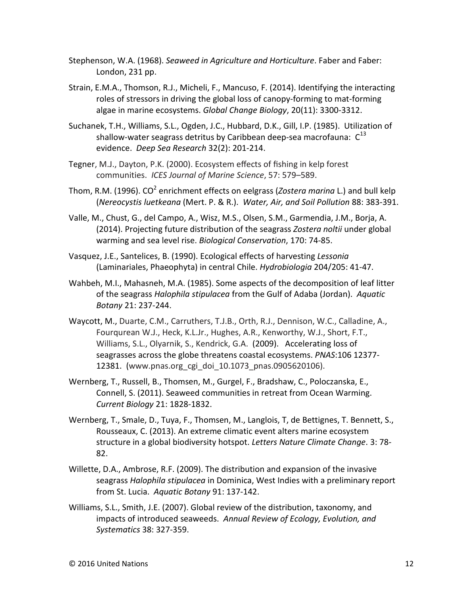- Stephenson, W.A. (1968). *Seaweed in Agriculture and Horticulture*. Faber and Faber: London, 231 pp.
- Strain, E.M.A., Thomson, R.J., Micheli, F., Mancuso, F. (2014). Identifying the interacting roles of stressors in driving the global loss of canopy-forming to mat-forming algae in marine ecosystems. *Global Change Biology*, 20(11): 3300-3312.
- Suchanek, T.H., Williams, S.L., Ogden, J.C., Hubbard, D.K., Gill, I.P. (1985). Utilization of shallow-water seagrass detritus by Caribbean deep-sea macrofauna:  $C^{13}$ evidence. *Deep Sea Research* 32(2): 201-214.
- Tegner, M.J., Dayton, P.K. (2000). Ecosystem effects of fishing in kelp forest communities. *ICES Journal of Marine Science*, 57: 579–589.
- Thom, R.M. (1996). CO<sup>2</sup> enrichment effects on eelgrass (*Zostera marina* L.) and bull kelp (*Nereocystis luetkeana* (Mert. P. & R.). *Water, Air, and Soil Pollution* 88: 383-391.
- Valle, M., Chust, G., del Campo, A., Wisz, M.S., Olsen, S.M., Garmendia, J.M., Borja, A. (2014). Projecting future distribution of the seagrass *Zostera noltii* under global warming and sea level rise. *Biological Conservation*, 170: 74-85.
- Vasquez, J.E., Santelices, B. (1990). Ecological effects of harvesting *Lessonia*  (Laminariales, Phaeophyta) in central Chile. *Hydrobiologia* 204/205: 41-47.
- Wahbeh, M.I., Mahasneh, M.A. (1985). Some aspects of the decomposition of leaf litter of the seagrass *Halophila stipulacea* from the Gulf of Adaba (Jordan). *Aquatic Botany* 21: 237-244.
- Waycott, M., Duarte, C.M., Carruthers, T.J.B., Orth, R.J., Dennison, W.C., Calladine, A., Fourqurean W.J., Heck, K.L.Jr., Hughes, A.R., Kenworthy, W.J., Short, F.T., Williams, S.L., Olyarnik, S., Kendrick, G.A. (2009). Accelerating loss of seagrasses across the globe threatens coastal ecosystems. *PNAS*:106 12377- 12381. (www.pnas.org\_cgi\_doi\_10.1073\_pnas.0905620106).
- Wernberg, T., Russell, B., Thomsen, M., Gurgel, F., Bradshaw, C., Poloczanska, E., Connell, S. (2011). Seaweed communities in retreat from Ocean Warming. *Current Biology* 21: 1828-1832.
- Wernberg, T., Smale, D., Tuya, F., Thomsen, M., Langlois, T, de Bettignes, T. Bennett, S., Rousseaux, C. (2013). An extreme climatic event alters marine ecosystem structure in a global biodiversity hotspot. *Letters Nature Climate Change*. 3: 78- 82.
- Willette, D.A., Ambrose, R.F. (2009). The distribution and expansion of the invasive seagrass *Halophila stipulacea* in Dominica, West Indies with a preliminary report from St. Lucia. *Aquatic Botany* 91: 137-142.
- Williams, S.L., Smith, J.E. (2007). Global review of the distribution, taxonomy, and impacts of introduced seaweeds. *Annual Review of Ecology, Evolution, and Systematics* 38: 327-359.